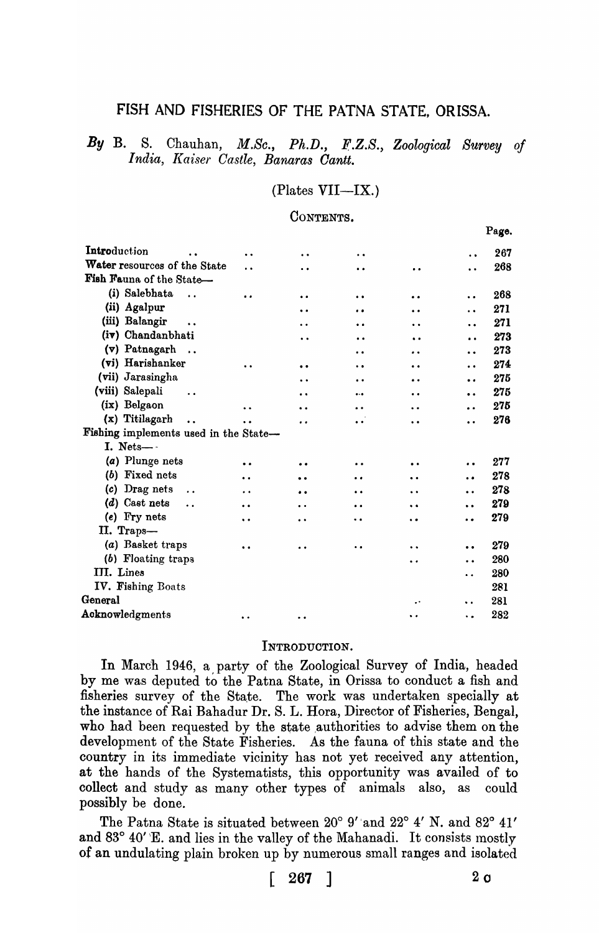# FISH AND FISHERIES OF THE PATNA STATE, ORISSA.

By B. S. Chauhan, *M.Sc.,* Ph.D., *F.Z.S., Zoological Survey of India, Kaiser Castle, Banaras Cantt.* 

### $(Plates VIII—IX.)$

# CONTENTS.

|                                                                                                            |                      |                      |                      |                      |                      | Page. |
|------------------------------------------------------------------------------------------------------------|----------------------|----------------------|----------------------|----------------------|----------------------|-------|
| Introduction                                                                                               | $\ddot{\phantom{0}}$ | $\ddot{\phantom{0}}$ | $\bullet$            |                      | $\ddot{\phantom{a}}$ | 267   |
| Water resources of the State                                                                               | . .                  | $\ddot{\phantom{a}}$ | $\ddot{\phantom{a}}$ | $\bullet$            | $\ddot{\phantom{a}}$ | 268   |
| Fish Fauna of the State-                                                                                   |                      |                      |                      |                      |                      |       |
| (i) Salebhata<br>$\ddot{\phantom{a}}$                                                                      | $\bullet$            | $\bullet$            | $\bullet\bullet$     |                      | $\ddot{\bullet}$     | 268   |
| (ii) Agalpur                                                                                               |                      | $\ddot{\phantom{0}}$ | $\bullet$            | $\ddot{\bullet}$     | $\ddot{\phantom{0}}$ | 271   |
| (iii) Balangir<br>$\ddot{\phantom{a}}$                                                                     |                      | $\ddot{\phantom{0}}$ | . .                  |                      | $\ddot{\phantom{a}}$ | 271   |
| (iv) Chandanbhati                                                                                          |                      | $\ddot{\phantom{0}}$ |                      | $\ddot{\phantom{a}}$ | $\bullet$            | 273   |
| (v) Patnagarh<br>$\dddot{\phantom{1}}$                                                                     |                      |                      | $\bullet$ $\bullet$  | . .                  | $\ddot{\phantom{a}}$ | 273   |
| (vi) Harishanker                                                                                           |                      | $\bullet$            | $\ddot{\phantom{0}}$ | $\ddot{\phantom{0}}$ | $\ddot{\bullet}$     | 274   |
| (vii) Jarasingha                                                                                           |                      | . .                  |                      | $\bullet$            | $\ddot{\phantom{0}}$ | 275   |
| (viii) Salepali                                                                                            |                      | $\ddot{\phantom{a}}$ |                      | $\ddot{\phantom{0}}$ | $\bullet$            | 275   |
| (ix) Belgaon                                                                                               |                      | $\ddot{\phantom{0}}$ | $\cdot$ $\cdot$      | $\ddot{\phantom{0}}$ | $\bullet$            | 275   |
| (x) Titilagarh<br>$\ddot{\phantom{a}}$                                                                     | $\ddot{\phantom{a}}$ |                      | $\ddot{\phantom{a}}$ | $\ddot{\phantom{0}}$ | $\ddot{\phantom{0}}$ | 276   |
| Fishing implements used in the State-                                                                      |                      |                      |                      |                      |                      |       |
| I. Nets-                                                                                                   |                      |                      |                      |                      |                      |       |
| (a) Plunge nets                                                                                            | $\ddot{\phantom{a}}$ | . .                  |                      | . .                  | $\bullet$            | 277   |
| (b) Fixed nets                                                                                             | $\ddot{\phantom{0}}$ |                      |                      |                      | $\bullet$            | 278   |
| Drag nets<br>(c)<br>$\ddot{\phantom{a}}$                                                                   | $\ddot{\phantom{0}}$ | $\ddot{\phantom{a}}$ | $\ddot{\bullet}$     | $\ddot{\phantom{a}}$ |                      | 278   |
| $(d)$ Cast nets<br>$\ddot{\phantom{a}}$                                                                    | $\ddot{\phantom{a}}$ | $\ddot{\phantom{0}}$ |                      | $\ddot{\phantom{0}}$ | $\ddot{\phantom{0}}$ | 279   |
| (e) Fry nets                                                                                               | $\ddot{\phantom{0}}$ | . .                  |                      | $\ddot{\phantom{0}}$ | . .                  | 279   |
| II. Traps-                                                                                                 |                      |                      |                      |                      |                      |       |
| (a) Basket traps                                                                                           | $\bullet$ $\bullet$  | $\bullet$            | . .                  | $\ddot{\phantom{1}}$ | $\bullet\bullet$     | 279   |
| (b) Floating traps                                                                                         |                      |                      |                      | $\cdot$              |                      | 280   |
| III. Lines                                                                                                 |                      |                      |                      |                      | . .                  | 280   |
| IV. Fishing Boats                                                                                          |                      |                      |                      |                      |                      | 281   |
| $\operatorname{General}% \left( \mathcal{N}\right) \equiv\operatorname*{General}\left( \mathcal{N}\right)$ |                      |                      |                      |                      | $\ddot{\phantom{1}}$ | 281   |
| Acknowledgments                                                                                            | $\ddot{\phantom{0}}$ | $\bullet$            |                      | $\ddot{\phantom{0}}$ | ٠.                   | 282   |
|                                                                                                            |                      |                      |                      |                      |                      |       |

#### INTRODUCTION.

In March 1946, a party of the Zoological Survey of India, headed by me was deputed to the Patna State, in Orissa to conduct a fish and fisheries survey of the State. The work was undertaken specially at the instance of Rai Bahadur Dr. S. L. Rora, Director of Fisheries, Bengal, who had been requested by the state authorities to advise them on the development of the State Fisheries. As the fauna of this state and the country in its immediate vicinity has not yet received any attention, at the hands of the Systematists, this opportunity was availed of to collect and study as many other types of animals also, as could possibly be done.

The Patna State is situated between 20° 9' and 22° 4' N. and 82° 41' and  $83^{\circ}$  40' E. and lies in the valley of the Mahanadi. It consists mostly of an undulating plain broken up by numerous small ranges and isolated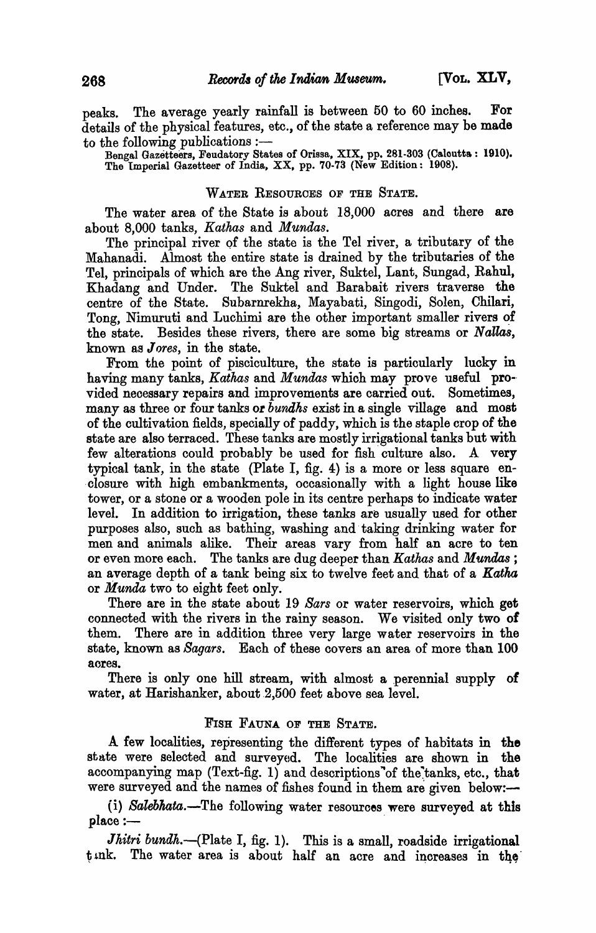peaks. The average yearly rainfall is between 50 to 60 inches. For details of the physical features, etc., of the state a reference may be made to the following publications :-

Bengal Gazetteers, Feudatory States of Orissa, XIX, pp. 281-303 (Caloutta: 1910). The Imperial Gazetteer of India, XX, pp. 70-73 (New Edition: 1908).

# WATER RESOURCES OF THE STATE.

The water area of the State is about 18,000 acres and there are about 8,000 tanks, *Kathas* and *Mundas.* 

The principal river of the state is the Tel river, a tributary of the Mahanadi. Almost the entire state is drained by the tributaries of the Tel, principals of which are the Ang river, Suktel, Lant, Sungad, Rahul, Khadang and Under. The Suktel and Barabait rivers traverse the centre of the State. Subarnrekha, Mayabati, Singodi, Solen, Chllari, Tong, Nimuruti and Luchimi are the other important smaller rivers of the state. Besides these rivers, there are some big streams or *Nallas,*  known as *Jores*, in the state.

From the point of pisciculture, the state is particularly lucky in having many tanks, *Kathas* and *Mundas* which may prove useful pro-· vided necessary repairs and improvements are carried out. Sometimes, many as three or four tanka oz *bundks* exist in a single village and most of the cultivation fields, specially of paddy, which is the staple crop of the state are also terraced. These tanks are mostly irrigational tanks but with few alterations could probably be used for fish culture also. A very typical tank, in the state (Plate I, fig. 4) is a more or less square en- . closure with high embankments, occasionally with a light house like tower, or a stone or a wooden pole in its centre perhaps to indicate water level. In addition to irrigation, these tanks are usually used for other purposes also, such as bathing, washing and taking drinking water for men and animals alike. Their areas vary from half an acre to ten or even more each. The tanks are dug deeper than *Kathas* and *Mundas ;*  an average depth of a tank being six to twelve feet and that of a Katha or *Munila* two to eight feet only.

There are in the state about 19 *Sars* or water reservoirs, which get connected with the rivers in the rainy season. We visited only two of them. There are in addition three very large water reservoirs in the state, known as *Sagars.* Each of these covers an area of more than 100 acres.

There is only one hill stream, with almost a perennial supply of water, at Harishanker, about 2,500 feet above sea level.

#### FISH FAUNA OF THE STATE.

A few localities, representing the different types of habitats in the state were selected and surveyed. The localities are shown in the accompanying map (Text-fig. 1) and descriptions of the tanks, etc., that were surveyed and the names of fishes found in them are given below:-

(i) *Balebkata.-The* following water resources were surveyed at this place:-

*Jhitri bundh.*—(Plate I, fig. 1). This is a small, roadside irrigational  $t$  ink. The water area is about half an acre and increases in the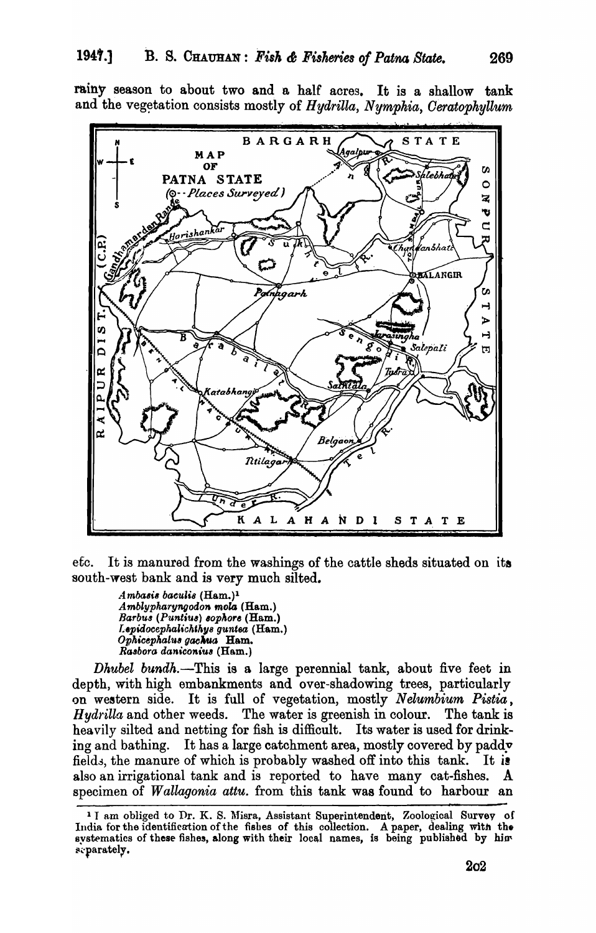rainy season to about two and a half acres. It is a shallow tank and the vegetation consists mostly of Hydrilla, Nymphia, Ceratophyllum



 $etc.$ It is manured from the washings of the cattle sheds situated on its south-west bank and is very much silted.

Ambasis baculis (Ham.)<sup>1</sup> Amblypharyngodon mola (Ham.) Barbus (Puntius) sophore (Ham.) Lepidocephalichthys guntea (Ham.) Ophicephalus gachua Ham. Rasbora daniconius (Ham.)

Dhubel bundh.—This is a large perennial tank, about five feet in depth, with high embankments and over-shadowing trees, particularly on western side. It is full of vegetation, mostly Nelumbium Pistia, The water is greenish in colour. *Hydrilla* and other weeds. The tank is heavily silted and netting for fish is difficult. Its water is used for drinking and bathing. It has a large catchment area, mostly covered by padd fields, the manure of which is probably washed off into this tank. It is also an irrigational tank and is reported to have many cat-fishes.  $\mathbf{A}$ specimen of *Wallagonia attu*. from this tank was found to harbour an

<sup>&</sup>lt;sup>1</sup> I am obliged to Dr. K. S. Misra, Assistant Superintendent, Zoological Survey of India for the identification of the fishes of this collection. A paper, dealing with the systematics of these fishes, along with their local names, is being published by him separately.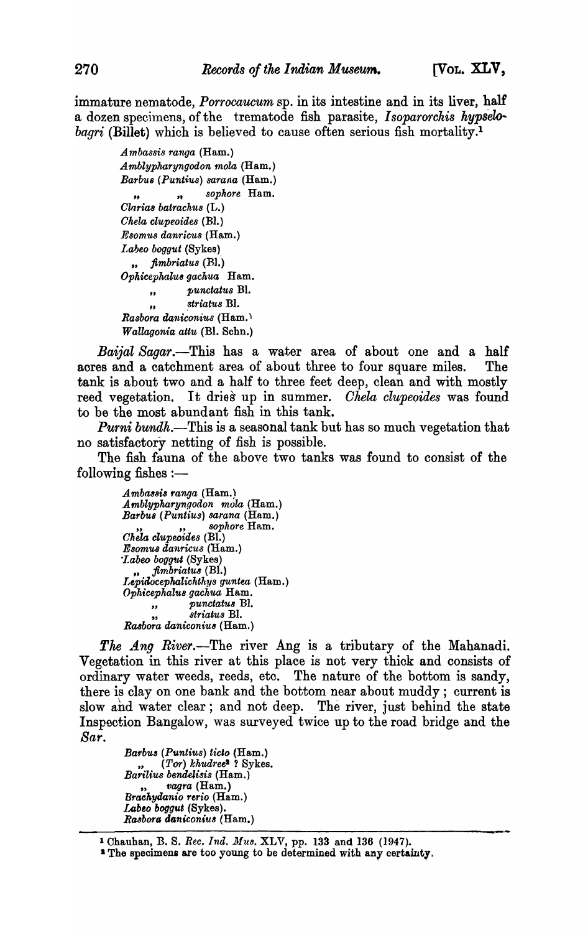immature nematode, *Porrocaucum* sp. in its intestine and in its liver, half a dozen specimens, of the trematode fish parasite, *Isoparorchis hypselobagri* (Billet) which is believed to cause often serious fish mortality.<sup>1</sup>

> *Ambassis ranga* (Ham.) *A mblypharyngodon 1nola* (Ham.) *Barbu8 (Puntius) sarana* {Ham.} " *"soph.ore* Ham. *Clarias batrachus* (L.) *Chela clupeoides* (BI.) *Esomus danrieus* (Ham.) *Labeo boggut* (Sykes) *" jimbriat'Us (R1.') Ophicepkalu& gachua* Ham. *" punctatu8* Bl. " *striatus* Bl. *Rasbora daniconius* (Ha.m.) *Wa.llagonia attu* (Bl. Schn.)

*Baijal Sagar.-This* has a water area of about one and a half aores and a catchment area of about three to four square miles. The tank is about two and a half to three feet deep, clean and with mostly reed vegetation. It dries up in summer. *Chela clupeoides* was found to be the most abundant fish in this tank.

*Purni bundh*.—This is a seasonal tank but has so much vegetation that no satisfactory netting of fish is possible.

The fish fauna of the above two tanks was found to consist of the following fishes  $:$ --

> *A mba38ia ranua* (Ham.) *A mblypharyngodon mola* (Ham.) *Barbu8 (Puntius) sarana* (Ham.) " " *sophore* Ham. *'Chela clupeoides* (Bl.) *Esomu8 danricus* (Ham.) *"Labeo boggtd* (Sykes) *" jirnbriatu8* (BI.) *LepiiloceplwJiehthys guntea* (Ham.) *Ophicephalu8 gachua* Ham. *" punctatu8* BI. *" 8triatu8* Bl. *Ra4bora daniconiu&* (Ham.)

The *Ang River*.—The river Ang is a tributary of the Mahanadi. Vegetation in this river at this place is not very thick and consists of ordinary water weeds, reeds, etc. The nature of the bottom is sandy, there is clay on one bank and the bottom near about muddy; current is slow ahd water clear; and not deep. The river, just behind the state Inspection Bangalow, was surveyed twice up to the road bridge and the *Sar.* 

> *Barbu3 (Puntius) ticlo* (Ham.) " *(Tor) khudreel* ? Sykes. *Barilius bendelisis* (Ham.) *vagra* (Ham.) *Braehyilanio rerio* (Ham.) Labeo boggut *(Sykes)*. *Ra3borG ooniconiu8* (Ham.)

1 Chauhan, B. S. *Ree. Ind. Mus.* XLV, pp. 133 and 136 (1947).

<sup>&</sup>lt;sup>2</sup> The specimens are too young to be determined with any certainty.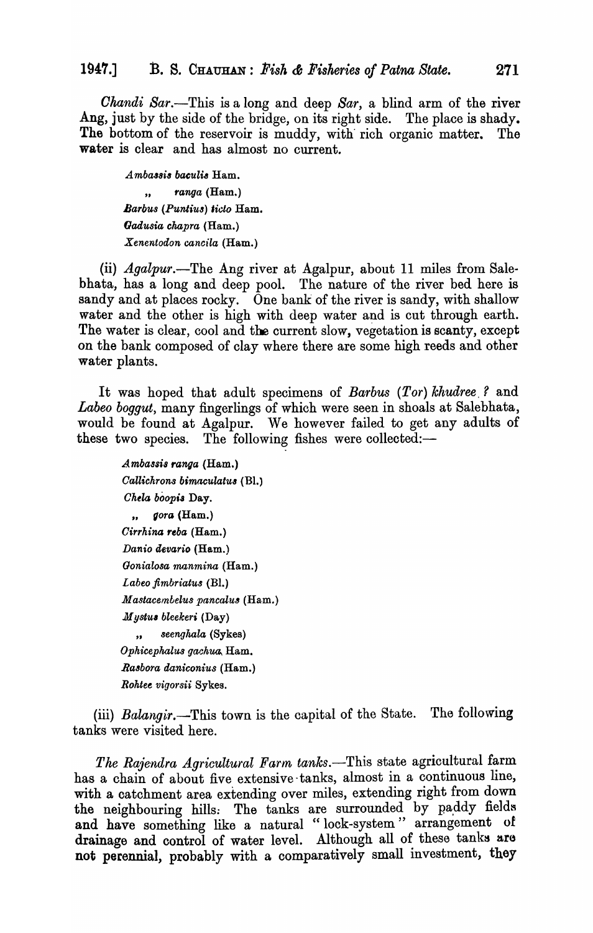*Chandi Sar.*—This is a long and deep *Sar*, a blind arm of the river Ang, just by the side of the bridge, on its right side. The place is shady. The bottom of the reservoir is muddy, with rich organic matter. The water is clear and has almost no current.

*Ambassis baculis* Ham. " *ranga* (Ham.) *Barbus (Puntius) ticlo* Ham. *Gadusia chapra* (Ham.) *Xenentodon cancila* (Ham.)

(ii) *Agalpur*.—The Ang river at Agalpur, about 11 miles from Salebhata, has a long and deep pool. The nature of the river bed here is sandy and at places rocky. One bank of the river is sandy, with shallow water and the other is high with deep water and is cut through earth. The water is clear, cool and the current slow, vegetation is scanty, except on the bank composed of clay where there are some high reeds and other water plants.

It was hoped that adult specimens of *Barbus (Tor) khudree,?* and *Labeo boggut,* many fingerlings of which were seen in shoals at Salebhata, would be found at Agalpur. We however failed to get any adults of these two species. The following fishes were collected:-

A *mbassi8 ranga* (Ham.) *Callichrons bimaculatu8* (BI.) *Chela boopis Day. " gora* (Ham.) *Cirrhina reba* (Ham.) *Danio clevario* (Ham.) *Gonialosa manmina* (Ham.) *Labeo flmbriatus* (Bl.) *Mastacembelus pancalus* (Ham.) *Mystu, bleekeri* (Day) *" seenghala* (Sykes) *Ophicephalus gachua*, Ham. *Ra8bora daniconius* (Ham.) *Roktee vigotsii* Sykes.

(iii) *Balangir.*—This town is the capital of the State. The following tanks were visited here.

*The Rajendra Agricultural Farm tanks.-This* state agricultural farm has a chain of about five extensive -tanks, almost in a continuous line, with a catchment area extending over miles, extending right from down the neighbouring hills. The tanks are surrounded by paddy fields and have something like a natural "lock-system" arrangement of drainage and control of water level. Although all of these tanks are not perennial, probably with a comparatively small investment, they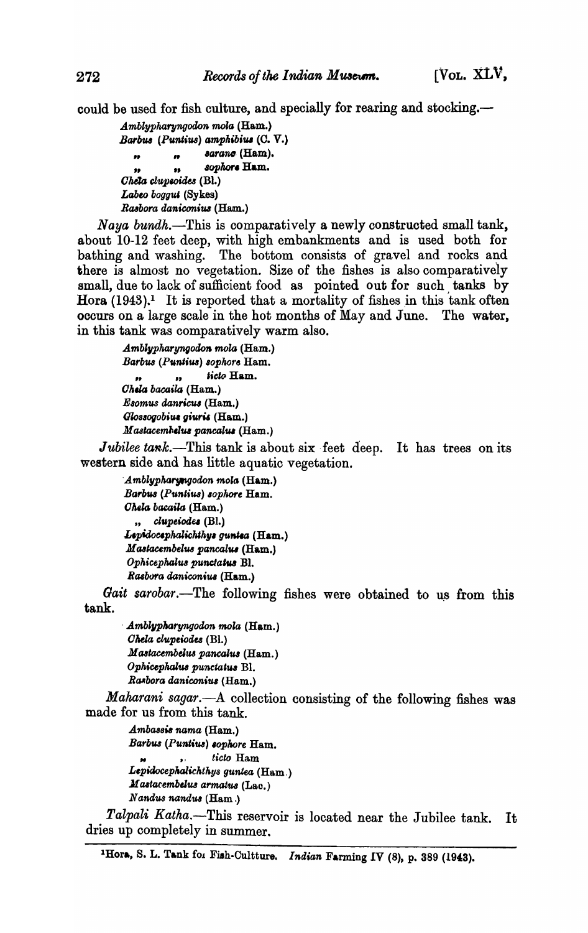could be used for fish culture, and specially for rearing and stocking.—

Amblypharyngodon mola (Ham.) Barbus (Puntius) amphibius (C. V.) sarano (Ham).  $\boldsymbol{v}$  $\bullet$ sophore Hum.  $\bullet\bullet$  $\bullet$ Cheta clupeoides (Bl.) Labeo boggut (Sykes) Rasbora daniconius (Ham.)

Naya bundh.—This is comparatively a newly constructed small tank, about 10-12 feet deep, with high embankments and is used both for bathing and washing. The bottom consists of gravel and rocks and there is almost no vegetation. Size of the fishes is also comparatively small, due to lack of sufficient food as pointed out for such tanks by Hora  $(1943).$ <sup>1</sup> It is reported that a mortality of fishes in this tank often occurs on a large scale in the hot months of May and June. The water, in this tank was comparatively warm also.

> Amblypharyngodon mola (Ham.) Barbus (Puntius) sophore Ham. ticto Ham. Chela bacaila (Ham.) Esomus danricus (Ham.) Glossogobius giuris (Ham.) Mastacembelus pancalus (Ham.)

Jubilee tank.—This tank is about six feet deep. It has trees on its western side and has little aquatic vegetation.

Amblypharyngodon mola (Ham.) Barbus (Puntius) sophore Ham. Chela bacaila (Ham.) " clupeiodes (Bl.) Lepidocephalichthys guntea (Ham.) Mastacembelus pancalus (Ham.) Ophicephalus punctatus Bl. Rasbora daniconius (Ham.)

Gait sarobar.—The following fishes were obtained to us from this tank.

Amblypharyngodon mola (Ham.) Chela clupeiodes (Bl.) Mastacembelus pancalus (Ham.) Ophicephalus punctatus Bl. Rasbora daniconius (Ham.)

Maharani sagar. A collection consisting of the following fishes was made for us from this tank.

Ambassis nama (Ham.) Barbus (Puntius) sophore Ham. ticto Ham  $\bullet$ Lepidocephalichthys guntea (Ham.) Mastacembelus armatus (Lao.) Nandus nandus (Ham.)

Talpali Katha.-This reservoir is located near the Jubilee tank. Tt. dries up completely in summer.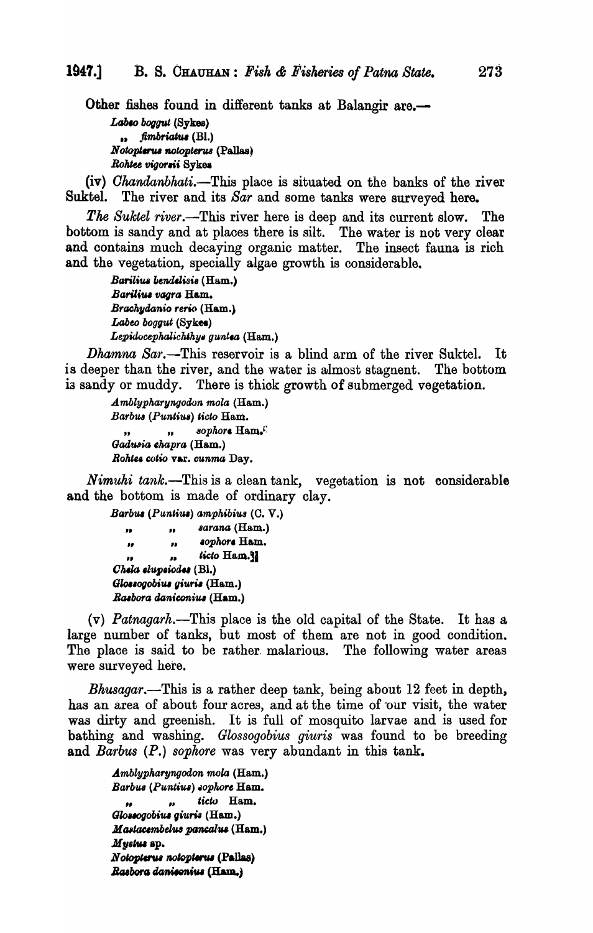Other fishes found in different tanks at Balangir are.-Labso boggut (Sykes)  $\ldots$  fimbriatus (Bl.)

Notopierus notopierus (Pallas) Rohtee vigorsii Sykes

(iv) *Chandanbhati*.—This place is situated on the banks of the river Suktel. The river and its Sar and some tanks were surveyed here.

The Suktel river.—This river here is deep and its current slow. The bottom is sandy and at places there is silt. The water is not very clear and contains much decaying organic matter. The insect fauna is rich and the vegetation, specially algae growth is considerable.

> Barilius bendelisis (Ham.) Barilius vagra Ham. Brachydanio rerio (Ham.) Labeo boggut (Sykes) Lepidocephalichthys guntea (Ham.)

*Dhamna Sar*.—This reservoir is a blind arm of the river Suktel. It is deeper than the river, and the water is almost stagnent. The bottom is sandy or muddy. There is thick growth of submerged vegetation.

> Amblypharyngodon mola (Ham.) Barbus (Puntius) ticto Ham. sophore Ham.  $\bullet$  $\overline{\mathbf{z}}$ Gadusia chapra (Ham.) Rohtes cotio var. cunma Day.

Nimuhi tank.—This is a clean tank, vegetation is not considerable and the bottom is made of ordinary clay.

Barbus (Puntius) amphibius (C. V.) sarana (Ham.)  $\mathbf{r}$ j, sophore Ham.  $\pmb{\mu}$  $\overline{\nu}$ ticto Ham.  $\mathbf{r}$ Chela elupeiodes (Bl.) Glossogobius giuris (Ham.) Rasbora daniconius (Ham.)

 $(v)$  *Patnagarh*.—This place is the old capital of the State. It has a large number of tanks, but most of them are not in good condition. The place is said to be rather malarious. The following water areas were surveyed here.

*Bhusagar*.—This is a rather deep tank, being about 12 feet in depth, has an area of about four acres, and at the time of our visit, the water was dirty and greenish. It is full of mosquito larvae and is used for bathing and washing. Glossogobius giuris was found to be breeding and Barbus (P.) sophore was very abundant in this tank.

Amblypharyngodon mola (Ham.) Barbus (Puntius) sophore Ham. ticto Ham.  $\mathbf{r}$  $\bullet$ Glossogobius giuris (Ham.) Mastacembelus pancalus (Ham.) Mystus sp. Notopierus notopierus (Pallas) Rasbora daniconius (Ham.)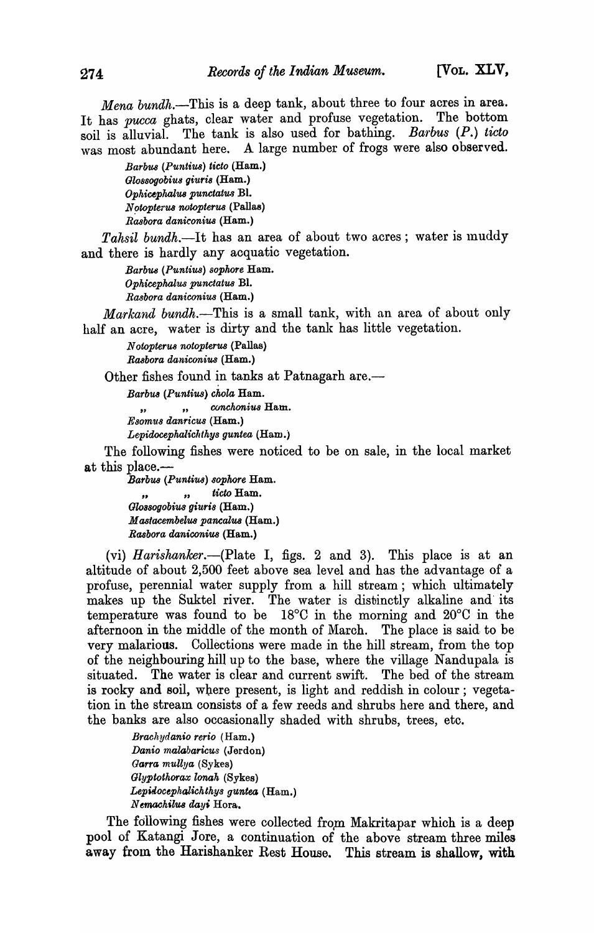*Mena bundh.*-This is a deep tank, about three to four acres in area. It has *pucca* ghats, clear water and profuse vegetation. The bottom soil is alluvial. The tank is also used for bathing. *Barbus (P.) ticto* was most abundant here. A large number of frogs were also observed.

> *Bar'buB (Puntius) ticto* (Ham.) *Gl08Sogobiu8 giuri8* (Ham.) *Ophicephalus punctatus Bl.*  $N$ *otopterus notopterus* (Pallas) *Rasbora daniconius* (Ham.)

Tahsil bundh.-It has an area of about two acres; water is muddy and there is hardly any acquatic vegetation.

> *BarbU8 (Puntius) sophore* Ham. *Ophicephalus punctatus* BI. *Rasbora daniconius* (Ham.)

*Markand bundh*.--This is a small tank, with an area of about only half an acre, water is dirty and the tank has little vegetation.

*N otopteru8 notopterus* (Pallas) *Rasbora dall,iconius* (Ham.)

Other fishes found in tanks at Patnagarh are.—

*Barbus (Puntius) chola* Ham.

", conchonius Ham.

*Esomus danricu8* (Ham.)

*Lepidocephalichthys guntea* (Ham.)

The following fishes were noticed to be on sale, in the local market at this place.—

*Barbus (Puntius) sopkore* Ham. " *"ticto* Ham. *Glo8s0gobius giuris* (Ham.) *M astacembelus pancalU8* (Ham.) *Rasbora daniconius* (Ham.)

(vi) *Harishanker*.—(Plate I, figs. 2 and 3). This place is at an altitude of about 2,500 feet above sea level and has the advantage of a profuse, perennial water supply from a hill stream; which ultimately makes up the Suktel river. The water is distinctly alkaline and' its temperature was found to be 18°C in the morning and 20°C in the afternoon in the middle of the month of March. The place is said to be very malarious. Collections were made in the hill stream, from the top of the neighbouring hill up to the base, where the village Nandupala is situated. The water is clear and current swift. The bed of the stream is rocky and Boil, where present, is iight and reddish in colour; vegetation in the stream consists of a few reeds and shrubs here and there, and the banks are also occasionally shaded with shrubs, trees, etc.

> *Brachydanio rerio* (Ham.) *Danio malabaricus* (Jerdon) *Garra mUllya* (Sykes) *Glyptothorax lonak* (Sykes) Lepidocephalichthys guntea (Ham.) N *emachilU8 day'* Hora.

The following fishes were collected from Makritapar which is a deep pool of Katangi Jore, a continuation of the above stream three miles away from the Harishanker Rest House. This stream is shallow, with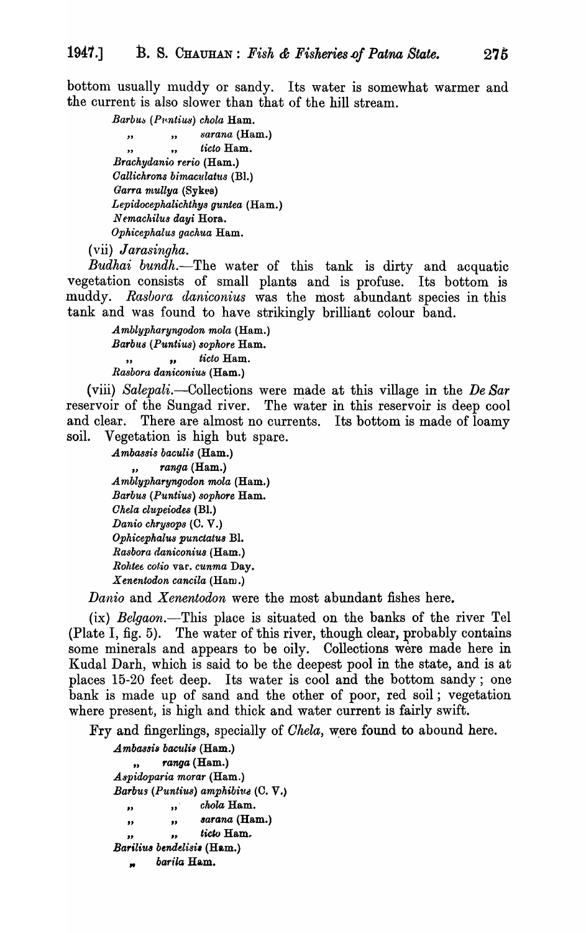bottom usually muddy or sandy. Its water is somewhat warmer and the current is also slower than that of the hill stream.

> Barbus (Puntius) chola Ham. sarana (Ham.)  $, ,$  $\overline{\mathbf{r}}$ ticto Ham.  $\ddot{\phantom{a}}$  $\bullet$ Brachydanio rerio (Ham.) Callichrons bimaculatus (Bl.) Garra mullya (Sykes) Lepidocephalichthys guntea (Ham.) Nemachilus dayi Hora. Ophicephalus gachua Ham.

(vii) Jarasingha.

Budhai bundh.-The water of this tank is dirty and acquatic vegetation consists of small plants and is profuse. Its bottom is muddy. Rasbora daniconius was the most abundant species in this tank and was found to have strikingly brilliant colour band.

> Amblypharyngodon mola (Ham.) Barbus (Puntius) sophore Ham. ticto Ham.  $\overline{\mathbf{v}}$  $\overline{\mathbf{z}}$ Rasbora daniconius (Ham.)

(viii) Salepali.—Collections were made at this village in the De Sar reservoir of the Sungad river. The water in this reservoir is deep cool and clear. There are almost no currents. Its bottom is made of loamy soil. Vegetation is high but spare.

> Ambassis baculis (Ham.) ranga (Ham.) Amblypharyngodon mola (Ham.) Barbus (Puntius) sophore Ham. Chela clupeiodes (Bl.) Danio chrysops (C. V.) Ophicephalus punctatus Bl. Rasbora daniconius (Ham.) Rohtee cotio var. cunma Day. Xenentodon cancila (Ham.)

Danio and Xenentodon were the most abundant fishes here.

(ix) Belgaon.—This place is situated on the banks of the river Tel (Plate I, fig. 5). The water of this river, though clear, probably contains some minerals and appears to be oily. Collections were made here in Kudal Darh, which is said to be the deepest pool in the state, and is at places 15-20 feet deep. Its water is cool and the bottom sandy; one bank is made up of sand and the other of poor, red soil; vegetation where present, is high and thick and water current is fairly swift.

Fry and fingerlings, specially of *Chela*, were found to abound here.

Ambassis baculis (Ham.) ranga (Ham.)  $\bullet\bullet$ Aspidoparia morar (Ham.) Barbus (Puntius) amphibius (C. V.) chola Ham.  $\mathbf{H}$  $\bullet$ sarana (Ham.)  $\bullet\bullet$  $\bullet$ ticto Ham.  $\pmb{\mathcal{Y}}$ Barilius bendelisis (Ham.) barila Ham.  $\bullet$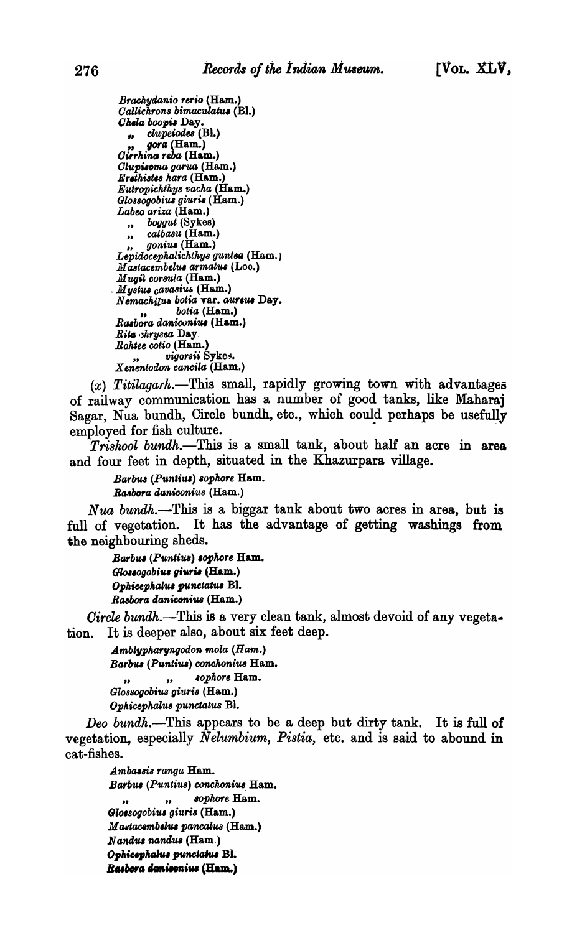Brachydanio rerio (Ham.) Callichrons bimaculatus (Bl.) Chela boopis Day. " clupeiodes (Bl.) gora (Ham.) Cirrhina reba (Ham.) Clupisoma garua (Ham.) Ercthistes hara (Ham.) Eutropichthys vacha (Ham.) Glossogobius giuris (Ham.)<br>Labeo ariza (Ham.) boggut (Sykes)  $\ddot{\phantom{a}}$ calbasu (Ham.)  $\overline{\mathbf{r}}$ *gonius* (Ham.) Lepidocephalichthys guntea (Ham.) Mastacembelus armatus (Loc.) Mugil corsula (Ham.) Mystus cavasius (Ham.) Nemachilus botia var. aureus Day. botia (Ham.) Rasbora daniconius (Ham.) Rita chrysea Day. Rohtee cotio (Ham.) vigorsii Sykes. Xenentodon cancila (Ham.)

 $(x)$  Titilagarh.—This small, rapidly growing town with advantages of railway communication has a number of good tanks, like Maharaj Sagar, Nua bundh, Circle bundh, etc., which could perhaps be usefully employed for fish culture.

*Trishool bundh*.—This is a small tank, about half an acre in area and four feet in depth, situated in the Khazurpara village.

Barbus (Puntius) sophore Ham. Rasbora daniconius (Ham.)

Nua bundh.—This is a biggar tank about two acres in area, but is full of vegetation. It has the advantage of getting washings from the neighbouring sheds.

Barbus (Puntius) sophore Ham. Glossogobius giuris (Ham.) Ophicephalus punctatus Bl. Rasbora daniconius (Ham.)

Circle bundh.—This is a very clean tank, almost devoid of any vegeta-It is deeper also, about six feet deep. tion.

> $Amblypharyngodon mola (Ham.)$ Barbus (Puntius) conchonius Ham. sophore Ham.  $\bullet$ Glossogobius giuris (Ham.) Ophicephalus punctatus Bl.

Deo bundh.—This appears to be a deep but dirty tank. It is full of vegetation, especially *Nelumbium*, *Pistia*, etc. and is said to abound in cat-fishes.

Ambassis ranga Ham. Barbus (Puntius) conchonius Ham. sophore Ham.  $\overline{\mathbf{z}}$ Glossogobius giuris (Ham.) Mastacembelus pancalus (Ham.) Nandus nandus (Ham.) Ophicsphalus punctatus Bl. Rasbora donisonius (Ham.)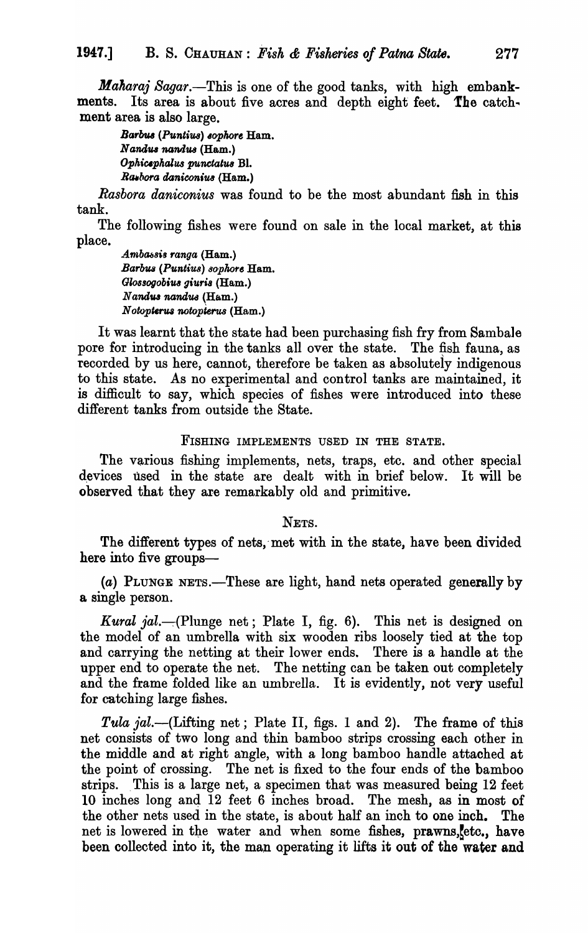*Maharaj Sagar.*—This is one of the good tanks, with high embankments. Its area is about five acres and depth eight feet. The catchment area is also large.

*Barbul* (Puntius) *8ophort* Ham. Nandus nandus (Ham.) *Opkiuphalus punctatw* BI. **Rashora daniconius (Ham.)** 

*Rasbora daniconius* was found to be the most abundant fish in this tank.

The following fishes were found on sale in the local market, at this place.

Ambassis ranga (Ham.) *Barb1uJ* (Puntiu8) *8opkore* Ham. Glossogobius giuris (Ham.) *Nandus nandus* (Ham.)  *<i>notopterus* (Ham.)

It was learnt that the state had been purchasing fish fry from Samba1e pore for introducing in the tanks all over the state. The fish fauna, as recorded by us here, cannot, therefore be taken as absolutely indigenous to this state. As no experimental and control tanks are maintained, it is difficult to say, which species of fishes were introduced into these different tanks from outside the State.

#### FISHING IMPLEMENTS USED IN THE STATE.

The various fishing implements, nets, traps, etc. and other special devices used in the state are dealt with in brief below. It will be observed that they are remarkably old and primitive.

NETS.

The different types of nets, met with in the state, have been divided here into five groups-

(a) PLUNGE NETS.—These are light, hand nets operated generally by a single person.

*Kural jal.*--(Plunge net; Plate I, fig. 6). This net is designed on the model of an umbrella with six wooden ribs loosely tied at the top and carrying the netting at their lower ends. There is a handle at the upper end to operate the net. The netting can be taken out completely and the frame folded like an umbrella. It is evidently, not very useful for catching large fishes.

Tula *jal*.—(Lifting net; Plate II, figs. 1 and 2). The frame of this net consists of two long and thin bamboo strips crossing each other in the middle and at right angle, with a long bamboo handle attached at the point of crossing. The net is fixed to the four ends of the bamboo strips. This is a large net, a specimen that was measured being 12 feet 10 inches long and 12 feet 6 inches broad. The mesh, as in most of the other nets used in the state, is about half an inch to one inch. The net is lowered in the water and when some fishes, prawns, etc., have been collected into it, the man operating it lifts it out of the water and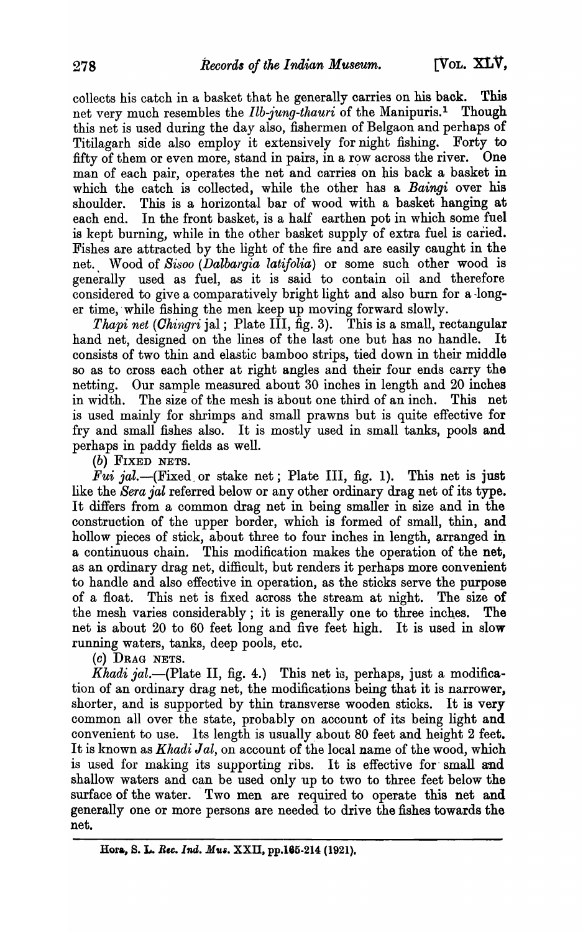collects his catch in a basket that he generally carries on his back. This net very much resembles the *Ilb-jung-thauri* of the Manipuris.1 Though this net is used during the day also, fishermen of Belgaon and perhaps of<br>Titilagarh side also employ it extensively for night fishing. Forty to Titilagarh side also employ it extensively for night fishing. Forty to fifty of them or even more, stand in pairs, in a row across the river. One fifty of them or even more, stand in pairs, in a row across the river. man of each pair, operates the net and carries on his back a basket in which the catch is collected, while the other has a *Baingi* over his shoulder. This is a horizontal bar of wood with a basket hanging at each end. In the front basket, is a half earthen pot in which some fuel is kept burning, while in the other basket supply of extra fuel is caried. Fishes are attracted by the light of the fire and are easily caught in the net., Wood of *Sisoo (Dalbargia latifolia)* or some such other wood is generally used as fuel, as it is said to contain oil and therefore considered to give a comparatively bright light and also burn for a -longer time, while fishing the men keep up moving forward slowly.

*Thapi net (Chingri jal; Plate III, fig. 3).* This is a small, rectangular hand net, designed on the lines of the last one but has no handle. It consists of two thin and elastic bamboo strips, tied down in their middle so as to cross each other at right angles and their four ends carry the netting. Our sample measured about 30 inches in length and 20 inches in width. The size of the mesh is about one third of an inch. This net is used mainly for shrimps and small prawns but is quite effective for fry and small fishes also. It is mostly used in small tanks, pools and perhaps in paddy fields as well.

(b) FIXED NETS.

*Fui jal.*--(Fixed or stake net; Plate III, fig. 1). This net is just like the *Sera jal* referred below or any other ordinary drag net of its type. It differs from a common drag net in being smaller in size and in the construction of the upper border, which is formed of small, thin, and hollow pieces of stick, about three to four inches in length, arranged in a continuous chain. This modification makes the operation of the net, as an ordinary drag net, difficult, but renders it perhaps more convenient to handle and also effective in operation, as the sticks serve the purpose of a float. This net is fixed across the stream at night. The size of the mesh varies considerably; it is generally one to three inches. The net is about 20 to 60 feet long and five feet high. It is used in slow running waters, tanks, deep pools, etc.

(c) DRAG NETS.

*Khadi jal.*-(Plate II, fig. 4.) This net is, perhaps, just a modification of an ordinary drag net, the modifications being that it is narrower, shorter, and is supported by thin transverse wooden sticks. It is very common all over the state, probably on account of its being light and convenient to use. Its length is usually about 80 feet and height 2 feet. It is known as *Khadi Jal*, on account of the local name of the wood, which is used for making its supporting ribs. It is effective for small and shallow waters and can be used only up to two to three feet below the surface of the water. Two men are required to operate this net and generally one or more persons are needed to drive the fishes towards the net.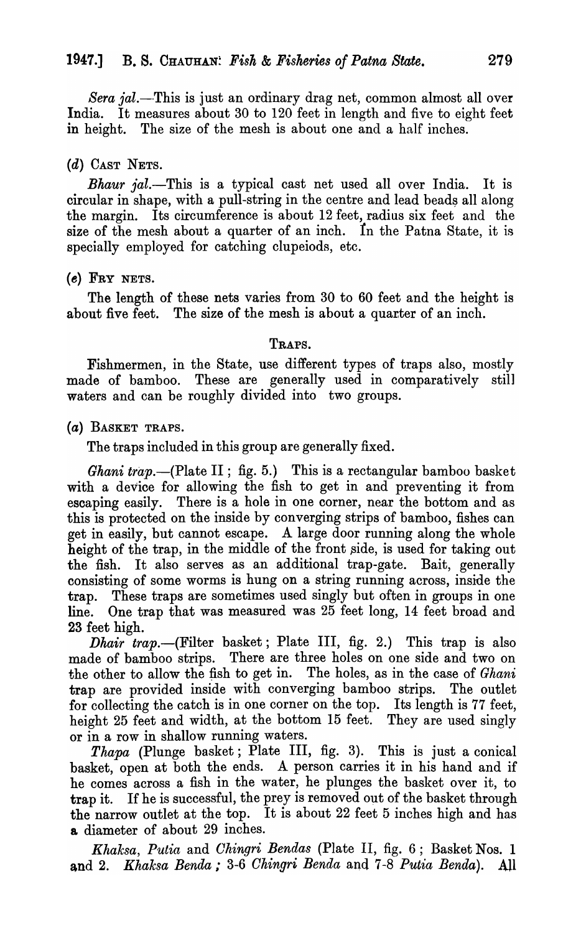*Sera jal.*—This is just an ordinary drag net, common almost all over India. It measures about 30 to 120 feet in length and five to eight feet in height. The size of the mesh is about one and a half inches.

# (d) CAST NETS.

*Bhaur jal.*—This is a typical cast net used all over India. It is circular in shape, with a pull-string in the centre and lead beads all along the margin. Its circumference is about 12 feet, radius six feet and the size of the mesh about a quarter of an inch. In the Patna State, it is specially employed for catching clupeiods, etc.

### $(e)$  FRY NETS.

The length of these nets varies from 30 to 60 feet and the height is about five feet. The size of the mesh is about a quarter of an inch.

#### TRAPS.

Fishmermen, in the State, use different types of traps also, mostly made of bamboo. These are generally used in comparatively still waters and can be roughly divided into two groups.

(a) BASKET TRAPS.

The traps included in this group are generally fixed.

Ghani trap.-(Plate II; fig. 5.) This is a rectangular bamboo basket with a device for allowing the fish to get in and preventing it from escaping easily. There is a hole in one corner, near the bottom and as this is protected on the inside by converging strips of bamboo, fishes can get in easily, but cannot escape. A large door running along the whole height of the trap, in the middle of the front side, is used for taking out the fish. It also serves as an additional trap-gate. Bait, generally consisting of some worms is hung on a string running across, inside the trap. These traps are sometimes used singly but often in groups in one line. One trap that was measured was 25 feet long, 14 feet broad and 23 feet high.

*Dhair trap.*—(Filter basket; Plate III, fig. 2.) This trap is also made of bamboo strips. There are three holes on one side and two on the other to allow the fish to get in. The holes, as in the case of *Ghani* trap are provided inside with converging bamboo strips. The outlet for collecting the catch is in one corner on the top. Its length is 77 feet, height 25 feet and width, at the bottom 15 feet. They are used singly or in a row in shallow running waters.

*Thapa* (Plunge basket; Plate III, fig. 3). This is just a conical basket, open at both the ends. A person carries it in his hand and if he comes across a fish in the water, he plunges the basket over it, to trap it. If he is successful, the prey is removed out of the basket through the narrow outlet at the top. It is about 22 feet 5 inches high and has & diameter of about 29 inches.

*Khaksa, Putia* and *Ohingri Bendas* (Plate II, fig. 6; Basket Nos. 1 and 2. *Khaksa Benda*; 3-6 *Ohingri Benda* and 7-8 *Putia Benda*). All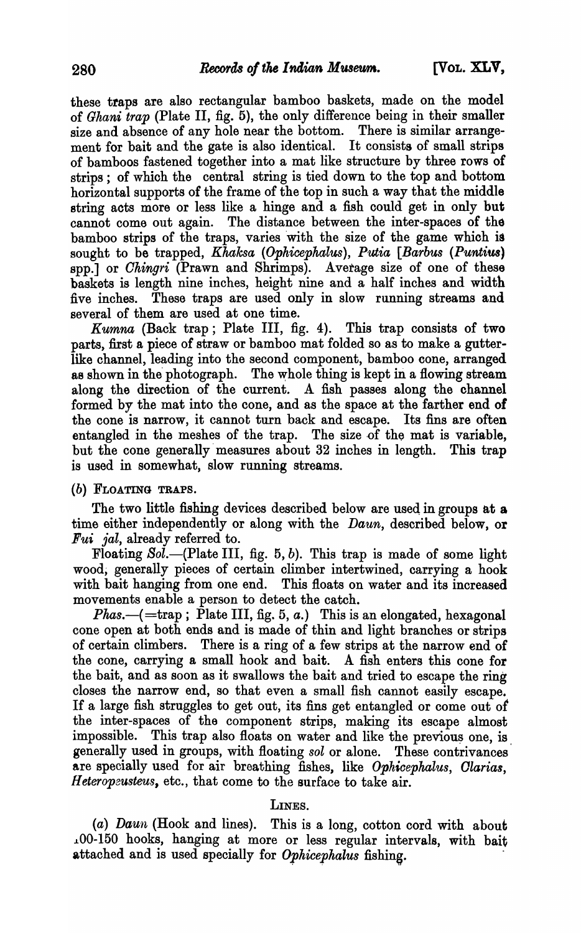these traps are also rectangular bamboo baskets, made on the model of *Ghani trap* (Plate II, fig. 5), the only difference being in their smaller size and absence of any hole near the bottom. There is similar arrangement for bait and the gate is also identical. It consists of small strips of bamboos fastened together into a mat like structure by three rows of strips; of which the central string is tied down to the top and bottom horizontal supports of the frame of the top in such a way that the middle string acts more or less like a hinge and a fish could get in only but cannot come out again. The distance between the inter-spaces of the bamboo strips of the traps, varies with the size of the game which is sought to be trapped, *Khaksa (Ophicephalus)*, *Putia [Barbus (Puntius)* spp.] or *Ohingri* (Prawn and Shrimps). Average size of one of these baskets is length nine inches, height nine and a half inches and width five inches. These traps are used only in slow running streams and several of them are used at one time.

*Kumna* (Back trap; Plate III, fig. 4). This trap consists of two parts, first a piece of straw or bamboo mat folded so as to make a gutterlike channel, leading into the second component, bamboo cone, arranged as shown in the photograph. The whole thing is kept in a flowing stream. along the direction of the current. A fish passes along the channel formed by the mat into the cone, and as the space at the farther end of the cone is narrow, it cannot turn back and escape. Its fins are often entangled in the meshes of the trap. The size of the mat is variable, but the cone generally measures about 32 inches in length. This trap is used in somewhat, slow running streams.

#### (b) FLOATING TRAPS.

The two little fishing devices described below are used in groups at a time either independently or along with the *Daun*, described below, or *Fui jal,* already referred to.

Floating  $Sol$ . (Plate III, fig. 5, b). This trap is made of some light wood, generally pieces of certain climber intertwined, carrying a hook with bait hanging from one end. This floats on water and its increased movements enable a person to detect the catch.

*Phas.*- $($  = trap; Plate III, fig. 5, *a*.) This is an elongated, hexagonal cone open at both ends and is made of thin and light branches or strips of certain climbers. There is a ring of a few strips at the narrow end of the cone, carrying a small hook and bait. A fish enters this cone for the bait, and as soon as it swallows the bait and tried to escape the ring closes the narrow end, so that even a small fish cannot easily escape. If a large fish struggles to get out, its fins get entangled or come out of the inter-spaces of the component strips, making its escape almost impossible. This trap also floats on water and like the previous one, is. generally used in groups, with floating *sol* or alone. These contrivances are specially used for air breathing fishes, like *Ophicephalus, Olarias, Heteropeusteus,* etc., that come to the surface to take air.

#### LINES.

(a) Daun (Hook and lines). This is a long, cotton cord with about .100-150 hooks, hanging at more or less regular intervals, with bait attached and is used specially for *Ophicephalus* fishing.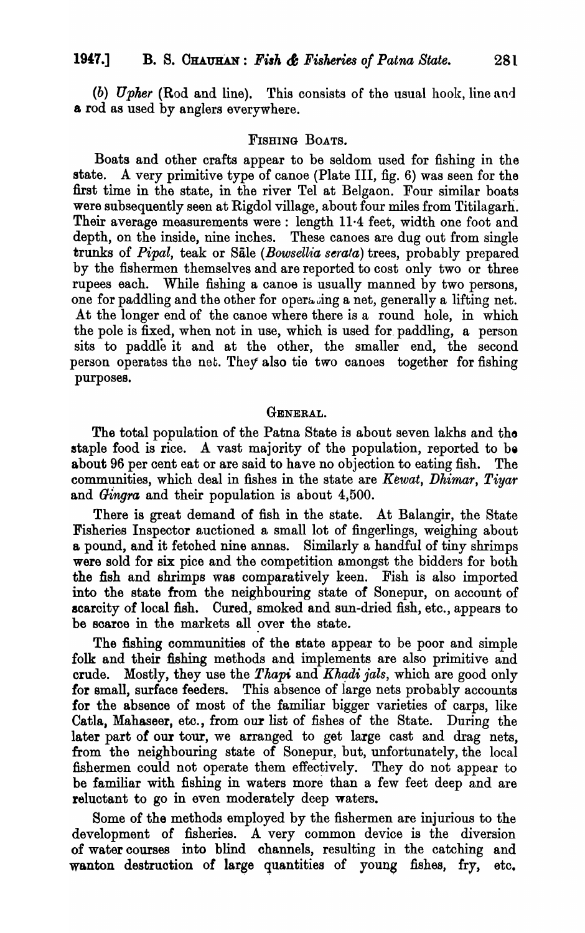*(b) Upher* (Rod and line). This consists of the usual hook, line and a rod as used by anglers everywhere.

#### FISHING BOATS.

Boats and other crafts appear to be seldom used for fishing in the state. A very primitive type of canoe (Plate III, fig. 6) was seen for the first time in the state, in the river Tel at Belgaon. Four similar boats were subsequently seen at Rigdol village, about four miles from Titilagarh. Their average measurements were: length 11·4 feet, width one foot and depth, on the inside, nine inches. These canoes are dug out from single trunks of *Pipal*, teak or Sale (*Bowsellia serata*) trees, probably prepared by the fishermen themselves and are reported to cost only two or three rupees each. While fishing a canoe is usually manned by two persons, one for paddling and the other for operating a net, generally a lifting net. At the longer end of the canoe where there is a round hole, in which the pole is fixed, when not in use, which is used for. paddling, a person sits to paddle it and at the other, the smaller end, the second person operates the net. They also tie two canoes together for fishing purposes.

### GENERAL.

The total population of the Patna State is about seven lakhs and the staple food is rice. A vast majority of the population, reported to be about 96 per cent eat or are said to have no objection to eating fish. The communities, which deal in fishes in the state are *Kewat*, *Dhimar*, *Tiyar* and *Gingra* and their population is about 4,500.

There is great demand of fish in the state. At Balangir, the State Fisheries Inspector auctioned a small lot of fingerlings, weighing about a pound, and it fetohed nine annas. Similarly a handful of tiny shrimps were sold for six pice and the competition amongst the bidders for both the fish and shrimps was comparatively keen. Fish is also imported into the state from the neighbouring state of Sonepur, on account of scarcity of local fish. Cured, smoked and sun -dried fish, etc., appears to be scarce in the markets all over the state.

The fishing communities of the state appear to be poor and simple folk and their fishing methods and implements are also primitive and crude. Mostly, they use the *Thapi* and *Khadi jals*, which are good only for small, surface feeders. This absence of large nets probably accounts for the absence of most of the familiar bigger varieties of carps, like OatIs, Mahaseer, etc., from our list of fishes of the State. During the later part of our tour, we arranged to get large cast and drag nets, from the neighbouring state of Sonepur, but, unfortunately, the local fishermen could not operate them effectively. They do not appear to be familiar with fishing in waters more than a few feet deep and are reluctant to go in even moderately deep waters.

Some of the methods employed by the fishermen are injurious to the development of fisheries. A very common device is the diversion of water courses into blind channels, resulting in the catching and wanton destruction of large quantities of young fishes, fry, etc.